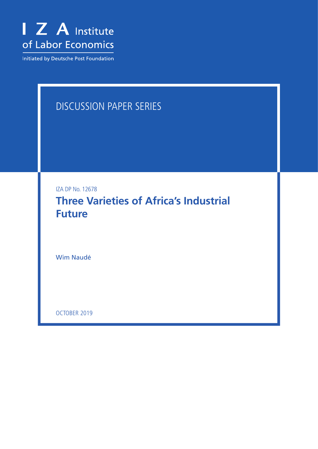

Initiated by Deutsche Post Foundation

# DISCUSSION PAPER SERIES

IZA DP No. 12678

**Three Varieties of Africa's Industrial Future**

Wim Naudé

OCTOBER 2019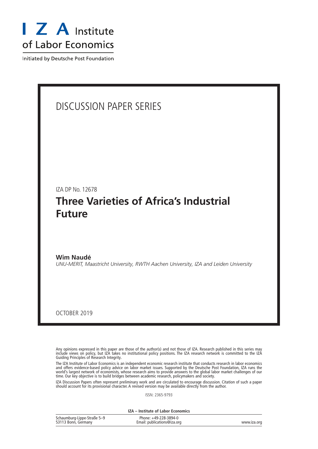

Initiated by Deutsche Post Foundation

## DISCUSSION PAPER SERIES

IZA DP No. 12678

## **Three Varieties of Africa's Industrial Future**

**Wim Naudé** *UNU-MERIT, Maastricht University, RWTH Aachen University, IZA and Leiden University*

OCTOBER 2019

Any opinions expressed in this paper are those of the author(s) and not those of IZA. Research published in this series may include views on policy, but IZA takes no institutional policy positions. The IZA research network is committed to the IZA Guiding Principles of Research Integrity.

The IZA Institute of Labor Economics is an independent economic research institute that conducts research in labor economics and offers evidence-based policy advice on labor market issues. Supported by the Deutsche Post Foundation, IZA runs the world's largest network of economists, whose research aims to provide answers to the global labor market challenges of our time. Our key objective is to build bridges between academic research, policymakers and society.

IZA Discussion Papers often represent preliminary work and are circulated to encourage discussion. Citation of such a paper should account for its provisional character. A revised version may be available directly from the author.

ISSN: 2365-9793

**IZA – Institute of Labor Economics**

| Schaumburg-Lippe-Straße 5-9 | Phone: +49-228-3894-0       |             |
|-----------------------------|-----------------------------|-------------|
| 53113 Bonn, Germany         | Email: publications@iza.org | www.iza.org |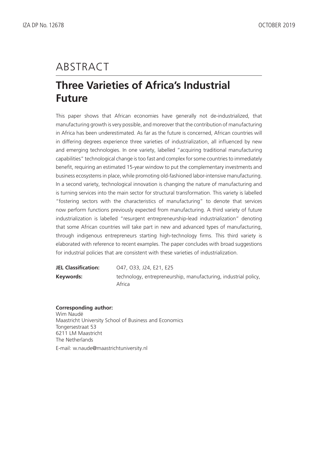# ABSTRACT

## **Three Varieties of Africa's Industrial Future**

This paper shows that African economies have generally not de-industrialized, that manufacturing growth is very possible, and moreover that the contribution of manufacturing in Africa has been underestimated. As far as the future is concerned, African countries will in differing degrees experience three varieties of industrialization, all influenced by new and emerging technologies. In one variety, labelled "acquiring traditional manufacturing capabilities" technological change is too fast and complex for some countries to immediately benefit, requiring an estimated 15-year window to put the complementary investments and business ecosystems in place, while promoting old-fashioned labor-intensive manufacturing. In a second variety, technological innovation is changing the nature of manufacturing and is turning services into the main sector for structural transformation. This variety is labelled "fostering sectors with the characteristics of manufacturing" to denote that services now perform functions previously expected from manufacturing. A third variety of future industrialization is labelled "resurgent entrepreneurship-lead industrialization" denoting that some African countries will take part in new and advanced types of manufacturing, through indigenous entrepreneurs starting high-technology firms. This third variety is elaborated with reference to recent examples. The paper concludes with broad suggestions for industrial policies that are consistent with these varieties of industrialization.

| <b>JEL Classification:</b> | 047, 033, J24, E21, E25                                         |
|----------------------------|-----------------------------------------------------------------|
| Kevwords:                  | technology, entrepreneurship, manufacturing, industrial policy, |
|                            | Africa                                                          |

#### **Corresponding author:**

Wim Naudé Maastricht University School of Business and Economics Tongersestraat 53 6211 LM Maastricht The Netherlands E-mail: w.naude@maastrichtuniversity.nl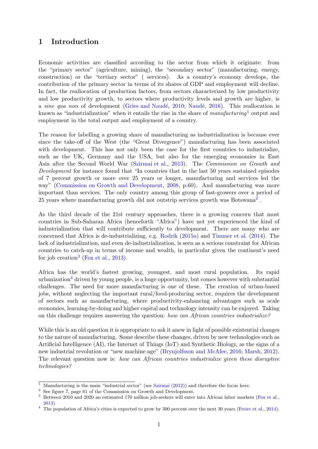### 1 Introduction

Economic activities are classified according to the sector from which it originate: from the "primary sector" (agriculture, mining), the "secondary sector" (manufacturing, energy, construction) or the "tertiary sector" ( services). As a country's economy develops, the contribution of the primary sector in terms of its shares of GDP and employment will decline. In fact, the reallocation of production factors, from sectors characterized by low productivity and low productivity growth, to sectors where productivity levels and growth are higher, is a sine qua non of development (Gries and Naudé, [2010;](#page-18-0) Naudé, [2016\)](#page-19-0). This reallocation is known as "industrialization" when it entails the rise in the share of  $manufacturing<sup>1</sup>$  $manufacturing<sup>1</sup>$  $manufacturing<sup>1</sup>$  output and employment in the total output and employment of a country.

The reason for labelling a growing share of manufacturing as industrialization is because ever since the take-off of the West (the "Great Divergence") manufacturing has been associated with development. This has not only been the case for the first countries to industrialize, such as the UK, Germany and the USA, but also for the emerging economies in East Asia after the Second World War [\(Szirmai et al.,](#page-20-0) [2013\)](#page-20-0). The Commission on Growth and Development for instance found that "In countries that in the last 50 years sustained episodes of 7 percent growth or more over 25 years or longer, manufacturing and services led the way" [\(Commission on Growth and Development,](#page-17-0) [2008,](#page-17-0) p.60). And manufacturing was more important than services. The only country among this group of fast-growers over a period of [2](#page-3-1)5 years where manufacturing growth did not outstrip services growth was Botswana<sup>2</sup>.

As the third decade of the 21st century approaches, there is a growing concern that most countries in Sub-Saharan Africa (henceforth "Africa") have not yet experienced the kind of industrialization that will contribute sufficiently to development. There are many who are concerned that Africa is de-industrializing, e.g. [Rodrik](#page-20-1) [\(2015a\)](#page-20-1) and [Timmer et al.](#page-20-2) [\(2014\)](#page-20-2). The lack of industrialization, and even de-industrialization, is seen as a serious constraint for African countries to catch-up in terms of income and wealth, in particular given the continent's need for job creation<sup>[3](#page-3-2)</sup> [\(Fox et al.,](#page-18-1) [2013\)](#page-18-1).

Africa has the world's fastest growing, youngest, and most rural population. Its rapid urbanization<sup>[4](#page-3-3)</sup> driven by young people, is a huge opportunity, but comes however with substantial challenges. The need for more manufacturing is one of these. The creation of urban-based jobs, without neglecting the important rural/food-producing sector, requires the development of sectors such as manufacturing, where productivity-enhancing advantages such as scale economies, learning-by-doing and higher capital and technology intensity can be enjoyed. Taking on this challenge requires answering the question: how can African countries industrialize?

While this is an old question it is appropriate to ask it anew in light of possible existential changes to the nature of manufacturing. Some describe these changes, driven by new technologies such as Artificial Intelligence (AI), the Internet of Things (IoT) and Synthetic Biology, as the signs of a new industrial revolution or "new machine age" [\(Brynjolfsson and McAfee,](#page-17-1) [2016;](#page-17-1) [Marsh,](#page-19-1) [2012\)](#page-19-1). The relevant question now is: how can African countries industrialize given these disruptive technologies?

<span id="page-3-0"></span><sup>&</sup>lt;sup>1</sup> Manufacturing is the main "industrial sector" (see [Szirmai](#page-20-3)  $(2012)$ ) and therefore the focus here.

<span id="page-3-1"></span><sup>2</sup> See figure 7, page 61 of the Commission on Growth and Development.

<span id="page-3-2"></span><sup>&</sup>lt;sup>3</sup> Between 2010 and 2020 an estimated 170 million job-seekers will enter into African labor markets [\(Fox et al.,](#page-18-1) [2013\)](#page-18-1).

<span id="page-3-3"></span><sup>4</sup> The population of Africa's cities is expected to grow by 300 percent over the next 30 years [\(Freire et al.,](#page-18-2) [2014\)](#page-18-2).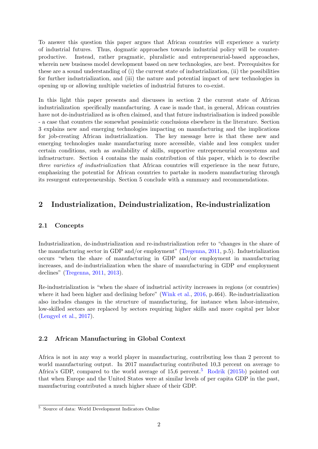To answer this question this paper argues that African countries will experience a variety of industrial futures. Thus, dogmatic approaches towards industrial policy will be counterproductive. Instead, rather pragmatic, pluralistic and entrepreneurial-based approaches, wherein new business model development based on new technologies, are best. Prerequisites for these are a sound understanding of (i) the current state of industrialization, (ii) the possibilities for further industrialization, and (iii) the nature and potential impact of new technologies in opening up or allowing multiple varieties of industrial futures to co-exist.

In this light this paper presents and discusses in section 2 the current state of African industrialization specifically manufacturing. A case is made that, in general, African countries have not de-industrialized as is often claimed, and that future industrialisation is indeed possible - a case that counters the somewhat pessimistic conclusions elsewhere in the literature. Section 3 explains new and emerging technologies impacting on manufacturing and the implications for job-creating African industrialization. The key message here is that these new and emerging technologies make manufacturing more accessible, viable and less complex under certain conditions, such as availability of skills, supportive entrepreneurial ecosystems and infrastructure. Section 4 contains the main contribution of this paper, which is to describe three varieties of industrialization that African countries will experience in the near future, emphasizing the potential for African countries to partake in modern manufacturing through its resurgent entrepreneurship. Section 5 conclude with a summary and recommendations.

## 2 Industrialization, Deindustrialization, Re-industrialization

#### 2.1 Concepts

Industrialization, de-industrialization and re-industrialization refer to "changes in the share of the manufacturing sector in GDP and/or employment" [\(Tregenna,](#page-20-4) [2011,](#page-20-4) p.5). Industrialization occurs "when the share of manufacturing in GDP and/or employment in manufacturing increases, and de-industrialization when the share of manufacturing in GDP and employment declines" [\(Tregenna,](#page-20-4) [2011,](#page-20-4) [2013\)](#page-20-5).

Re-industrialization is "when the share of industrial activity increases in regions (or countries) where it had been higher and declining before" [\(Wink et al.,](#page-21-0) [2016,](#page-21-0) p.464). Re-industrialization also includes changes in the structure of manufacturing, for instance when labor-intensive, low-skilled sectors are replaced by sectors requiring higher skills and more capital per labor [\(Lengyel et al.,](#page-18-3) [2017\)](#page-18-3).

### 2.2 African Manufacturing in Global Context

Africa is not in any way a world player in manufacturing, contributing less than 2 percent to world manufacturing output. In 2017 manufacturing contributed 10,3 percent on average to Africa's GDP, compared to the world average of  $15.6$  $15.6$  $15.6$  percent.<sup>5</sup> [Rodrik](#page-20-6) [\(2015b\)](#page-20-6) pointed out that when Europe and the United States were at similar levels of per capita GDP in the past, manufacturing contributed a much higher share of their GDP.

<span id="page-4-0"></span><sup>5</sup> Source of data: World Development Indicators Online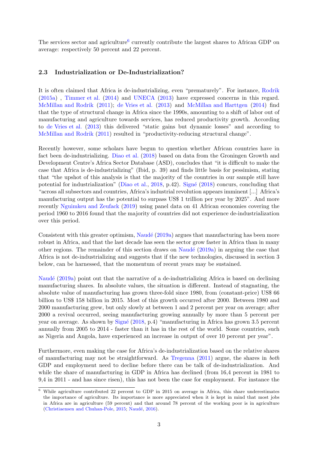The services sector and agriculture<sup>[6](#page-5-0)</sup> currently contribute the largest shares to African GDP on average: respectively 50 percent and 22 percent.

#### 2.3 Industrialization or De-Industrialization?

It is often claimed that Africa is de-industrializing, even "prematurely". For instance, [Rodrik](#page-20-1) [\(2015a\)](#page-20-1) , [Timmer et al.](#page-20-2) [\(2014\)](#page-20-2) and [UNECA](#page-20-7) [\(2013\)](#page-20-7) have expressed concerns in this regard. [McMillan and Rodrik](#page-19-2) [\(2011\)](#page-19-2); [de Vries et al.](#page-17-2) [\(2013\)](#page-17-2) and [McMillan and Harttgen](#page-19-3) [\(2014\)](#page-19-3) find that the type of structural change in Africa since the 1990s, amounting to a shift of labor out of manufacturing and agriculture towards services, has reduced productivity growth. According to [de Vries et al.](#page-17-2) [\(2013\)](#page-17-2) this delivered "static gains but dynamic losses" and according to [McMillan and Rodrik](#page-19-2) [\(2011\)](#page-19-2) resulted in "productivity-reducing structural change".

Recently however, some scholars have begun to question whether African countries have in fact been de-industrializing. [Diao et al.](#page-17-3) [\(2018\)](#page-17-3) based on data from the Groningen Growth and Development Centre's Africa Sector Database (ASD), concludes that "it is difficult to make the case that Africa is de-industrializing" (Ibid, p. 39) and finds little basis for pessimism, stating that "the upshot of this analysis is that the majority of the countries in our sample still have potential for industrialization" [\(Diao et al.,](#page-17-3) [2018,](#page-17-3) p.42). Signé [\(2018\)](#page-20-8) concurs, concluding that "across all subsectors and countries, Africa's industrial revolution appears imminent [...] Africa's manufacturing output has the potential to surpass US\$ 1 trillion per year by 2025". And more recently [Nguimkeu and Zeufack](#page-19-4) [\(2019\)](#page-19-4) using panel data on 41 African economies covering the period 1960 to 2016 found that the majority of countries did not experience de-industrialization over this period.

Consistent with this greater optimism, Naudé [\(2019a\)](#page-19-5) argues that manufacturing has been more robust in Africa, and that the last decade has seen the sector grow faster in Africa than in many other regions. The remainder of this section draws on Naudé  $(2019a)$  in arguing the case that Africa is not de-industrializing and suggests that if the new technologies, discussed in section 3 below, can be harnessed, that the momentum of recent years may be sustained.

Naudé [\(2019a\)](#page-19-5) point out that the narrative of a de-industrializing Africa is based on declining manufacturing shares. In absolute values, the situation is different. Instead of stagnating, the absolute value of manufacturing has grown three-fold since 1980, from (constant-price) US\$ 66 billion to US\$ 158 billion in 2015. Most of this growth occurred after 2000. Between 1980 and 2000 manufacturing grew, but only slowly at between 1 and 2 percent per year on average; after 2000 a revival occurred, seeing manufacturing growing annually by more than 5 percent per year on average. As shown by [Sign´e](#page-20-8) [\(2018,](#page-20-8) p.4) "manufacturing in Africa has grown 3.5 percent annually from 2005 to 2014 - faster than it has in the rest of the world. Some countries, such as Nigeria and Angola, have experienced an increase in output of over 10 percent per year".

Furthermore, even making the case for Africa's de-industrialization based on the relative shares of manufacturing may not be straightforward. As [Tregenna](#page-20-4) [\(2011\)](#page-20-4) argue, the shares in both GDP and employment need to decline before there can be talk of de-industrialization. And while the share of manufacturing in GDP in Africa has declined (from 16.4 percent in 1981 to 9,4 in 2011 - and has since risen), this has not been the case for employment. For instance the

<span id="page-5-0"></span><sup>6</sup> While agriculture contributed 22 percent to GDP in 2015 on average in Africa, this share underestimates the importance of agriculture. Its importance is more appreciated when it is kept in mind that most jobs in Africa are in agriculture (59 percent) and that around 78 percent of the working poor is in agriculture [\(Christiaensen and Chuhan-Pole,](#page-17-4) [2015;](#page-17-4) Naudé, [2016\)](#page-19-0).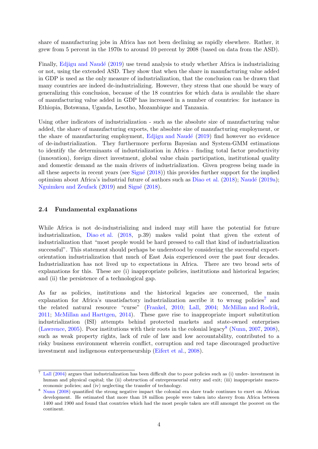share of manufacturing jobs in Africa has not been declining as rapidly elsewhere. Rather, it grew from 5 percent in the 1970s to around 10 percent by 2008 (based on data from the ASD).

Finally, Ediigu and Naudé [\(2019\)](#page-17-5) use trend analysis to study whether Africa is industrializing or not, using the extended ASD. They show that when the share in manufacturing value added in GDP is used as the only measure of industrialization, that the conclusion can be drawn that many countries are indeed de-industrializing. However, they stress that one should be wary of generalizing this conclusion, because of the 18 countries for which data is available the share of manufacturing value added in GDP has increased in a number of countries: for instance in Ethiopia, Botswana, Uganda, Lesotho, Mozambique and Tanzania.

Using other indicators of industrialization - such as the absolute size of manufacturing value added, the share of manufacturing exports, the absolute size of manufacturing employment, or the share of manufacturing employment, Edjigu and Naudé [\(2019\)](#page-17-5) find however no evidence of de-industrialization. They furthermore perform Bayesian and System-GMM estimations to identify the determinants of industrialization in Africa - finding total factor productivity (innovation), foreign direct investment, global value chain participation, institutional quality and domestic demand as the main drivers of industrialization. Given progress being made in all these aspects in recent years (see  $Signé (2018)$  $Signé (2018)$ ) this provides further support for the implied optimism about Africa's industrial future of authors such as [Diao et al.](#page-17-3) [\(2018\)](#page-17-3); Naudé [\(2019a\)](#page-19-5); [Nguimkeu and Zeufack](#page-19-4) [\(2019\)](#page-19-4) and Signé [\(2018\)](#page-20-8).

#### 2.4 Fundamental explanations

While Africa is not de-industrializing and indeed may still have the potential for future industrialization, [Diao et al.](#page-17-3) [\(2018,](#page-17-3) p.39) makes valid point that given the extent of industrialization that "most people would be hard pressed to call that kind of industrialization successful". This statement should perhaps be understood by considering the successful exportorientation industrialization that much of East Asia experienced over the past four decades. Industrialization has not lived up to expectations in Africa. There are two broad sets of explanations for this. These are (i) inappropriate policies, institutions and historical legacies; and (ii) the persistence of a technological gap.

As far as policies, institutions and the historical legacies are concerned, the main explanation for Africa's unsatisfactory industrialization ascribe it to wrong policies<sup>[7](#page-6-0)</sup> and the related natural resource "curse" [\(Frankel,](#page-18-4) [2010;](#page-18-4) [Lall,](#page-18-5) [2004;](#page-18-5) [McMillan and Rodrik,](#page-19-2) [2011;](#page-19-2) [McMillan and Harttgen,](#page-19-3) [2014\)](#page-19-3). These gave rise to inappropriate import substitution industrialization (ISI) attempts behind protected markets and state-owned enterprises [\(Lawrence,](#page-18-6) [2005\)](#page-18-6). Poor institutions with their roots in the colonial legacy<sup>[8](#page-6-1)</sup> [\(Nunn,](#page-19-6) [2007,](#page-19-6) [2008\)](#page-19-7), such as weak property rights, lack of rule of law and low accountability, contributed to a risky business environment wherein conflict, corruption and red tape discouraged productive investment and indigenous entrepreneurship [\(Eifert et al.,](#page-17-6) [2008\)](#page-17-6).

<span id="page-6-0"></span> $7$  [Lall](#page-18-5) [\(2004\)](#page-18-5) argues that industrialization has been difficult due to poor policies such as (i) under- investment in human and physical capital; the (ii) obstruction of entrepreneurial entry and exit; (iii) inappropriate macroeconomic policies; and (iv) neglecting the transfer of technology.

<span id="page-6-1"></span><sup>8</sup> [Nunn](#page-19-7) [\(2008\)](#page-19-7) quantified the strong negative impact the colonial era slave trade continues to exert on African development. He estimated that more than 18 million people were taken into slavery from Africa between 1400 and 1900 and found that countries which had the most people taken are still amongst the poorest on the continent.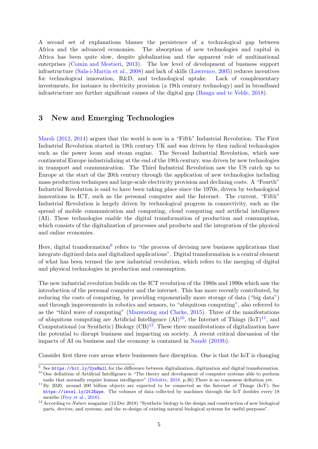A second set of explanations blames the persistence of a technological gap between Africa and the advanced economies. The absorption of new technologies and capital in Africa has been quite slow, despite globalization and the apparent role of multinational enterprises [\(Comin and Mestieri,](#page-17-7) [2013\)](#page-17-7). The low level of development of business support infrastructure [\(Sala-i-Martin et al.,](#page-20-9) [2008\)](#page-20-9) and lack of skills [\(Lawrence,](#page-18-6) [2005\)](#page-18-6) reduces incentives for technological innovation, R&D, and technological uptake. Lack of complementary investments, for instance in electricity provision (a 19th century technology) and in broadband infrastructure are further significant causes of the digital gap [\(Banga and te Velde,](#page-17-8) [2018\)](#page-17-8).

### 3 New and Emerging Technologies

[Marsh](#page-19-1) [\(2012,](#page-19-1) [2014\)](#page-19-8) argues that the world is now in a "Fifth" Industrial Revolution. The First Industrial Revolution started in 19th century UK and was driven by then radical technologies such as the power loom and steam engine. The Second Industrial Revolution, which saw continental Europe industrializing at the end of the 19th century, was driven by new technologies in transport and communication. The Third Industrial Revolution saw the US catch up to Europe at the start of the 20th century through the application of new technologies including mass production techniques and large-scale electricity provision and declining costs. A "Fourth" Industrial Revolution is said to have been taking place since the 1970s, driven by technological innovations in ICT, such as the personal computer and the Internet. The current, "Fifth" Industrial Revolution is largely driven by technological progress in connectivity, such as the spread of mobile communication and computing, cloud computing and artificial intelligence (AI). These technologies enable the digital transformation of production and consumption, which consists of the digitalization of processes and products and the integration of the physical and online economies.

Here, digital transformation<sup>[9](#page-7-0)</sup> refers to "the process of devising new business applications that integrate digitized data and digitalized applications". Digital transformation is a central element of what has been termed the new industrial revolution, which refers to the merging of digital and physical technologies in production and consumption.

The new industrial revolution builds on the ICT revolution of the 1980s and 1990s which saw the introduction of the personal computer and the internet. This has more recently contributed, by reducing the costs of computing, by providing exponentially more storage of data ("big data") and through improvements in robotics and sensors, to "ubiquitous computing", also referred to as the "third wave of computing" [\(Manwaring and Clarke,](#page-18-7) [2015\)](#page-18-7). Three of the manifestations of ubiquitous computing are Artificial Intelligence  $(AI)^{10}$  $(AI)^{10}$  $(AI)^{10}$ , the Internet of Things  $(IoT)^{11}$  $(IoT)^{11}$  $(IoT)^{11}$ , and Computational (or Synthetic) Biology  $(CB)^{12}$  $(CB)^{12}$  $(CB)^{12}$ . These three manifestations of digitalization have the potential to disrupt business and impacting on society. A recent critical discussion of the impacts of AI on business and the economy is contained in Naudé  $(2019b)$ .

Consider first three core areas where businesses face disruption. One is that the IoT is changing

<span id="page-7-1"></span><span id="page-7-0"></span> $9$  See <https://bit.ly/2ysRmlL> for the difference between digitalization, digitization and digital transformation. <sup>10</sup> One definition of Artificial Intelligence is "The theory and development of computer systems able to perform

<span id="page-7-2"></span>tasks that normally require human intelligence" [\(Deloitte,](#page-17-9) [2018,](#page-17-9) p.36).There is no consensus definition yet. <sup>11</sup> By 2020, around 200 billion objects are expected to be connected as the Internet of Things (IoT): See

<https://intel.ly/2t2Ewpe>. The volumes of data collected by machines through the IoT doubles every 18 months [\(Frey et al.,](#page-18-8) [2016\)](#page-18-8).

<span id="page-7-3"></span><sup>&</sup>lt;sup>12</sup> According to *Nature* magazine (14 Dec 2018) "Synthetic biology is the design and construction of new biological parts, devices, and systems, and the re-design of existing natural biological systems for useful purposes".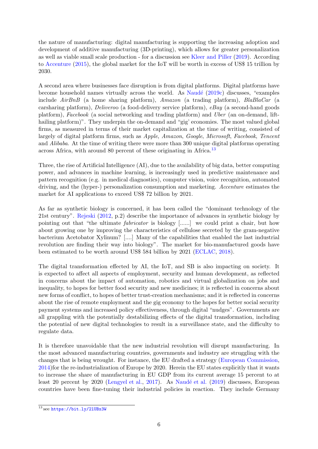the nature of manufacturing: digital manufacturing is supporting the increasing adoption and development of additive manufacturing (3D-printing), which allows for greater personalization as well as viable small scale production - for a discussion see [Kleer and Piller](#page-18-9) [\(2019\)](#page-18-9). According to [Accenture](#page-17-10) [\(2015\)](#page-17-10), the global market for the IoT will be worth in excess of US\$ 15 trillion by 2030.

A second area where businesses face disruption is from digital platforms. Digital platforms have become household names virtually across the world. As Naudé  $(2019c)$  discusses, "examples include AirBnB (a home sharing platform), Amazon (a trading platform), BlaBlaCar (a carsharing platform), Deliveroo (a food-delivery service platform),  $e$ Bay (a second-hand goods platform), Facebook (a social networking and trading platform) and Uber (an on-demand, lifthailing platform)". They underpin the on-demand and "gig' economies. The most valued global firms, as measured in terms of their market capitalization at the time of writing, consisted of largely of digital platform firms, such as Apple, Amazon, Google, Microsoft, Facebook, Tencent and Alibaba. At the time of writing there were more than 300 unique digital platforms operating across Africa, with around 80 percent of these originating in Africa.[13](#page-8-0)

Three, the rise of Artificial Intelligence (AI), due to the availability of big data, better computing power, and advances in machine learning, is increasingly used in predictive maintenance and pattern recognition (e.g. in medical diagnostics), computer vision, voice recognition, automated driving, and the (hyper-) personalization consumption and marketing. Accenture estimates the market for AI applications to exceed US\$ 72 billion by 2021.

As far as synthetic biology is concerned, it has been called the "dominant technology of the 21st century". [Rejeski](#page-20-10) [\(2012,](#page-20-10) p.2) describe the importance of advances in synthetic biology by pointing out that "the ultimate fabricator is biology [......] we could print a chair, but how about growing one by improving the characteristics of cellulose secreted by the gram-negative bacterium Acetobator Xylinum? [....] Many of the capabilities that enabled the last industrial revolution are finding their way into biology". The market for bio-manufactured goods have been estimated to be worth around US\$ 584 billion by 2021 [\(ECLAC,](#page-17-11) [2018\)](#page-17-11).

The digital transformation effected by AI, the IoT, and SB is also impacting on society. It is expected to affect all aspects of employment, security and human development, as reflected in concerns about the impact of automation, robotics and virtual globalization on jobs and inequality, to hopes for better food security and new medicines; it is reflected in concerns about new forms of conflict, to hopes of better trust-creation mechanisms; and it is reflected in concerns about the rise of remote employment and the gig economy to the hopes for better social security payment systems and increased policy effectiveness, through digital "nudges". Governments are all grappling with the potentially destabilizing effects of the digital transformation, including the potential of new digital technologies to result in a surveillance state, and the difficulty to regulate data.

It is therefore unavoidable that the new industrial revolution will disrupt manufacturing. In the most advanced manufacturing countries, governments and industry are struggling with the changes that is being wrought. For instance, the EU drafted a strategy [\(European Commission,](#page-18-10) [2014\)](#page-18-10)for the re-industrialization of Europe by 2020. Herein the EU states explicitly that it wants to increase the share of manufacturing in EU GDP from its current average 15 percent to at least 20 percent by 2020 [\(Lengyel et al.,](#page-18-3) [2017\)](#page-18-3). As Naudé et al. [\(2019\)](#page-19-11) discusses, European countries have been fine-tuning their industrial policies in reaction. They include Germany

<span id="page-8-0"></span> $13$  see https://bit.ly/21UBx3W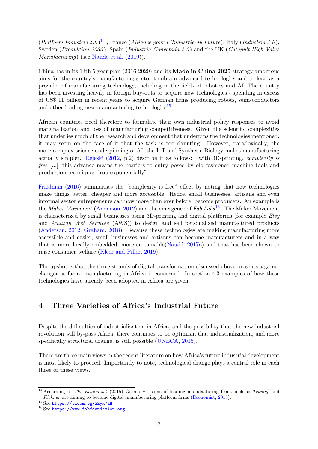(Platform Industrie 4.0)<sup>[14](#page-9-0)</sup>, France (Alliance pour L'Industrie du Future), Italy (Industria 4.0), Sweden (Produktion 2030), Spain (Industria Conectada 4.0) and the UK (Catapult High Value  $Manufacturing$ ) (see Naudé et al. [\(2019\)](#page-19-11)).

China has in its 13th 5-year plan (2016-2020) and its Made in China 2025 strategy ambitious aims for the country's manufacturing sector to obtain advanced technologies and to lead as a provider of manufacturing technology, including in the fields of robotics and AI. The country has been investing heavily in foreign buy-outs to acquire new technologies - spending in excess of US\$ 11 billion in recent years to acquire German firms producing robots, semi-conductors and other leading new manufacturing technologies<sup>[15](#page-9-1)</sup>.

African countries need therefore to formulate their own industrial policy responses to avoid marginalization and loss of manufacturing competitiveness. Given the scientific complexities that underlies much of the research and development that underpins the technologies mentioned, it may seem on the face of it that the task is too daunting. However, paradoxically, the more complex science underpinning of AI, the IoT and Synthetic Biology makes manufacturing actually simpler. [Rejeski](#page-20-10) [\(2012,](#page-20-10) p.2) describe it as follows: "with 3D-printing, complexity is free [...] this advance means the barriers to entry posed by old fashioned machine tools and production techniques drop exponentially".

[Friedman](#page-18-11) [\(2016\)](#page-18-11) summarises the "complexity is free" effect by noting that new technologies make things better, cheaper and more accessible. Hence, small businesses, artisans and even informal sector entrepreneurs can now more than ever before, become producers. An example is the Maker Movement [\(Anderson,](#page-17-12) [2012\)](#page-17-12) and the emergence of Fab Labs<sup>[16](#page-9-2)</sup>. The Maker Movement is characterized by small businesses using 3D-printing and digital platforms (for example  $E$ tsy and Amazon Web Services (AWS)) to design and sell personalized manufactured products [\(Anderson,](#page-17-12) [2012;](#page-17-12) [Graham,](#page-18-12) [2018\)](#page-18-12). Because these technologies are making manufacturing more accessible and easier, small businesses and artisans can become manufacturers and in a way that is more locally embedded, more sustainable(Naudé,  $2017a$ ) and that has been shown to raise consumer welfare [\(Kleer and Piller,](#page-18-9) [2019\)](#page-18-9).

The upshot is that the three strands of digital transformation discussed above presents a gamechanger as far as manufacturing in Africa is concerned. In section 4.3 examples of how these technologies have already been adopted in Africa are given.

### 4 Three Varieties of Africa's Industrial Future

Despite the difficulties of industrialization in Africa, and the possibility that the new industrial revolution will by-pass Africa, there continues to be optimism that industrialization, and more specifically structural change, is still possible [\(UNECA,](#page-20-11) [2015\)](#page-20-11).

There are three main views in the recent literature on how Africa's future industrial development is most likely to proceed. Importantly to note, technological change plays a central role in each three of these views.

<span id="page-9-0"></span> $14$  According to The Economist (2015) Germany's some of leading manufacturing firms such as Trumpf and Klckner are aiming to become digital manufacturing platform firms [\(Economist,](#page-17-13) [2015\)](#page-17-13).

<span id="page-9-1"></span><sup>15</sup> See <https://bloom.bg/2ZyH7aH>

<span id="page-9-2"></span> $16$  See <https://www.fabfoundation.org>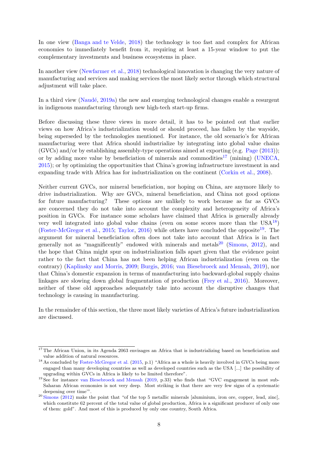In one view [\(Banga and te Velde,](#page-17-8) [2018\)](#page-17-8) the technology is too fast and complex for African economies to immediately benefit from it, requiring at least a 15-year window to put the complementary investments and business ecosystems in place.

In another view [\(Newfarmer et al.,](#page-19-13) [2018\)](#page-19-13) technological innovation is changing the very nature of manufacturing and services and making services the most likely sector through which structural adjustment will take place.

In a third view (Naudé,  $2019a$ ) the new and emerging technological changes enable a resurgent in indigenous manufacturing through new high-tech start-up firms.

Before discussing these three views in more detail, it has to be pointed out that earlier views on how Africa's industrialization would or should proceed, has fallen by the wayside, being superseded by the technologies mentioned. For instance, the old scenario's for African manufacturing were that Africa should industrialize by integrating into global value chains (GVCs) and/or by establishing assembly-type operations aimed at exporting (e.g. [Page](#page-19-14) [\(2013\)](#page-19-14)); or by adding more value by beneficiation of minerals and commodities<sup>[17](#page-10-0)</sup> (mining) [\(UNECA,](#page-20-11) [2015\)](#page-20-11); or by optimizing the opportunities that China's growing infrastructure investment in and expanding trade with Africa has for industrialization on the continent [\(Corkin et al.,](#page-17-14) [2008\)](#page-17-14).

Neither current GVCs, nor mineral beneficiation, nor hoping on China, are anymore likely to drive industrialization. Why are GVCs, mineral beneficiation, and China not good options for future manufacturing? These options are unlikely to work because as far as GVCs are concerned they do not take into account the complexity and heterogeneity of Africa's position in GVCs. For instance some scholars have claimed that Africa is generally already very well integrated into global value chains (even on some scores more than the  $USA^{18}$  $USA^{18}$  $USA^{18}$ ) [\(Foster-McGregor et al.,](#page-18-13) [2015;](#page-18-13) [Taylor,](#page-20-12) [2016\)](#page-20-12) while others have concluded the opposite<sup>[19](#page-10-2)</sup>. The argument for mineral beneficiation often does not take into account that Africa is in fact generally not as "magnificently" endowed with minerals and metals<sup>[20](#page-10-3)</sup> [\(Simons,](#page-20-13) [2012\)](#page-20-13), and the hope that China might spur on industrialization falls apart given that the evidence point rather to the fact that China has not been helping African industrialization (even on the contrary) [\(Kaplinsky and Morris,](#page-18-14) [2009;](#page-18-14) [Burgis,](#page-17-15) [2016;](#page-17-15) [van Biesebroeck and Mensah,](#page-20-14) [2019\)](#page-20-14), nor that China's domestic expansion in terms of manufacturing into backward-global supply chains linkages are slowing down global fragmentation of production [\(Frey et al.,](#page-18-8) [2016\)](#page-18-8). Moreover, neither of these old approaches adequately take into account the disruptive changes that technology is causing in manufacturing.

In the remainder of this section, the three most likely varieties of Africa's future industrialization are discussed.

<span id="page-10-0"></span> $17$  The African Union, in its Agenda 2063 envisages an Africa that is industrializing based on beneficiation and value addition of natural resources.

<span id="page-10-1"></span><sup>&</sup>lt;sup>18</sup> As concluded by [Foster-McGregor et al.](#page-18-13) [\(2015,](#page-18-13) p.1) "Africa as a whole is heavily involved in GVCs being more engaged than many developing countries as well as developed countries such as the USA [...] the possibility of upgrading within GVCs in Africa is likely to be limited therefore".

<span id="page-10-2"></span><sup>&</sup>lt;sup>19</sup> See for instance [van Biesebroeck and Mensah](#page-20-14) [\(2019,](#page-20-14) p.33) who finds that "GVC engagement in most sub-Saharan African economies is not very deep. Most striking is that there are very few signs of a systematic deepening over time'".

<span id="page-10-3"></span> $20$  [Simons](#page-20-13) [\(2012\)](#page-20-13) make the point that "of the top 5 metallic minerals [aluminium, iron ore, copper, lead, zinc], which constitute 62 percent of the total value of global production, Africa is a significant producer of only one of them: gold". And most of this is produced by only one country, South Africa.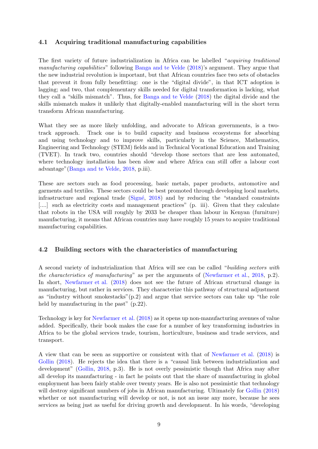#### 4.1 Acquiring traditional manufacturing capabilities

The first variety of future industrialization in Africa can be labelled "acquiring traditional manufacturing capabilities" following [Banga and te Velde](#page-17-8) [\(2018\)](#page-17-8)'s argument. They argue that the new industrial revolution is important, but that African countries face two sets of obstacles that prevent it from fully benefitting: one is the "digital divide", in that ICT adoption is lagging; and two, that complementary skills needed for digital transformation is lacking, what they call a "skills mismatch". Thus, for [Banga and te Velde](#page-17-8) [\(2018\)](#page-17-8) the digital divide and the skills mismatch makes it unlikely that digitally-enabled manufacturing will in the short term transform African manufacturing.

What they see as more likely unfolding, and advocate to African governments, is a twotrack approach. Track one is to build capacity and business ecosystems for absorbing and using technology and to improve skills, particularly in the Science, Mathematics, Engineering and Technology (STEM) fields and in Technical Vocational Education and Training (TVET). In track two, countries should "develop those sectors that are less automated, where technology installation has been slow and where Africa can still offer a labour cost advantage"[\(Banga and te Velde,](#page-17-8) [2018,](#page-17-8) p.iii).

These are sectors such as food processing, basic metals, paper products, automotive and garments and textiles. These sectors could be best promoted through developing local markets, infrastructure and regional trade  $(Signé, 2018)$  $(Signé, 2018)$  and by reducing the "standard constraints" [....] such as electricity costs and management practices" (p. iii). Given that they calculate that robots in the USA will roughly by 2033 be cheaper than labour in Kenyan (furniture) manufacturing, it means that African countries may have roughly 15 years to acquire traditional manufacturing capabilities.

#### 4.2 Building sectors with the characteristics of manufacturing

A second variety of industrialization that Africa will see can be called "building sectors with the characteristics of manufacturing" as per the arguments of [\(Newfarmer et al.,](#page-19-13) [2018,](#page-19-13) p.2). In short, [Newfarmer et al.](#page-19-13) [\(2018\)](#page-19-13) does not see the future of African structural change in manufacturing, but rather in services. They characterize this pathway of structural adjustment as "industry without smokestacks"(p.2) and argue that service sectors can take up "the role held by manufacturing in the past" (p.22).

Technology is key for [Newfarmer et al.](#page-19-13) [\(2018\)](#page-19-13) as it opens up non-manufacturing avenues of value added. Specifically, their book makes the case for a number of key transforming industries in Africa to be the global services trade, tourism, horticulture, business and trade services, and transport.

A view that can be seen as supportive or consistent with that of [Newfarmer et al.](#page-19-13) [\(2018\)](#page-19-13) is [Gollin](#page-18-15) [\(2018\)](#page-18-15). He rejects the idea that there is a "causal link between industrialization and development" [\(Gollin,](#page-18-15) [2018,](#page-18-15) p.3). He is not overly pessimistic though that Africa may after all develop its manufacturing - in fact he points out that the share of manufacturing in global employment has been fairly stable over twenty years. He is also not pessimistic that technology will destroy significant numbers of jobs in African manufacturing. Ultimately for [Gollin](#page-18-15) [\(2018\)](#page-18-15) whether or not manufacturing will develop or not, is not an issue any more, because he sees services as being just as useful for driving growth and development. In his words, "developing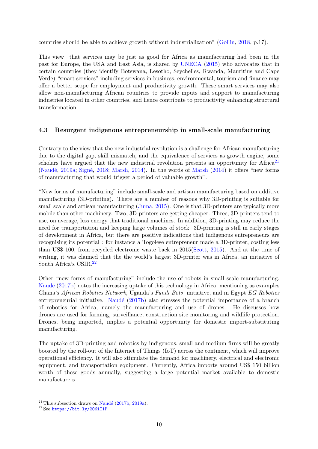countries should be able to achieve growth without industrialization" [\(Gollin,](#page-18-15) [2018,](#page-18-15) p.17).

This view that services may be just as good for Africa as manufacturing had been in the past for Europe, the USA and East Asia, is shared by [UNECA](#page-20-11) [\(2015\)](#page-20-11) who advocates that in certain countries (they identify Botswana, Lesotho, Seychelles, Rwanda, Mauritius and Cape Verde) "smart services" including services in business, environmental, tourism and finance may offer a better scope for employment and productivity growth. These smart services may also allow non-manufacturing African countries to provide inputs and support to manufacturing industries located in other countries, and hence contribute to productivity enhancing structural transformation.

#### 4.3 Resurgent indigenous entrepreneurship in small-scale manufacturing

Contrary to the view that the new industrial revolution is a challenge for African manufacturing due to the digital gap, skill mismatch, and the equivalence of services as growth engine, some scholars have argued that the new industrial revolution presents an opportunity for Africa<sup>[21](#page-12-0)</sup> (Naudé, [2019a;](#page-19-5) Signé, [2018;](#page-20-8) [Marsh,](#page-19-8) [2014\)](#page-19-8). In the words of [Marsh](#page-19-8)  $(2014)$  it offers "new forms" of manufacturing that would trigger a period of valuable growth".

"New forms of manufacturing" include small-scale and artisan manufacturing based on additive manufacturing (3D-printing). There are a number of reasons why 3D-printing is suitable for small scale and artisan manufacturing [\(Juma,](#page-18-16) [2015\)](#page-18-16). One is that 3D-printers are typically more mobile than other machinery. Two, 3D-printers are getting cheaper. Three, 3D-printers tend to use, on average, less energy that traditional machines. In addition, 3D-printing may reduce the need for transportation and keeping large volumes of stock. 3D-printing is still in early stages of development in Africa, but there are positive indications that indigenous entrepreneurs are recognising its potential : for instance a Togolese entrepreneur made a 3D-printer, costing less than US\$ 100, from recycled electronic waste back in 2015[\(Scott,](#page-20-15) [2015\)](#page-20-15). And at the time of writing, it was claimed that the the world's largest 3D-printer was in Africa, an initiative of South Africa's CSIR.[22](#page-12-1)

Other "new forms of manufacturing" include the use of robots in small scale manufacturing. Naudé [\(2017b\)](#page-19-15) notes the increasing uptake of this technology in Africa, mentioning as examples Ghana's African Robotics Network, Uganda's Fundi Bots' initiative, and in Egypt EG Robotics entrepreneurial initiative. Naudé  $(2017b)$  also stresses the potential importance of a branch of robotics for Africa, namely the manufacturing and use of drones. He discusses how drones are used for farming, surveillance, construction site monitoring and wildlife protection. Drones, being imported, implies a potential opportunity for domestic import-substituting manufacturing.

The uptake of 3D-printing and robotics by indigenous, small and medium firms will be greatly boosted by the roll-out of the Internet of Things (IoT) across the continent, which will improve operational efficiency. It will also stimulate the demand for machinery, electrical and electronic equipment, and transportation equipment. Currently, Africa imports around US\$ 150 billion worth of these goods annually, suggesting a large potential market available to domestic manufacturers.

<span id="page-12-0"></span> $\overline{^{21}$  This subsection draws on Naudé [\(2017b,](#page-19-15) [2019a\)](#page-19-5).

<span id="page-12-1"></span><sup>22</sup> See <https://bit.ly/2O6iT1P>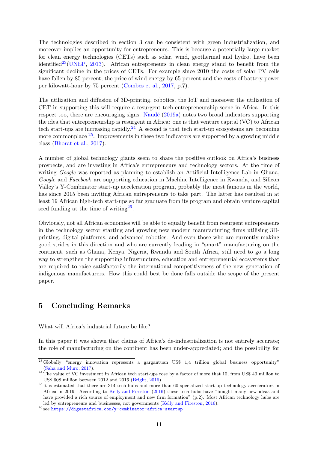The technologies described in section 3 can be consistent with green industrialization, and moreover implies an opportunity for entrepreneurs. This is because a potentially large market for clean energy technologies (CETs) such as solar, wind, geothermal and hydro, have been identified<sup>[23](#page-13-0)</sup>[\(UNEP,](#page-20-16) [2013\)](#page-20-16). African entrepreneurs in clean energy stand to benefit from the significant decline in the prices of CETs. For example since 2010 the costs of solar PV cells have fallen by 85 percent; the price of wind energy by 65 percent and the costs of battery power per kilowatt-hour by 75 percent [\(Combes et al.,](#page-17-16) [2017,](#page-17-16) p.7).

The utilization and diffusion of 3D-printing, robotics, the IoT and moreover the utilization of CET in supporting this will require a resurgent tech-entrepreneurship scene in Africa. In this respect too, there are encouraging signs. Naudé  $(2019a)$  notes two broad indicators supporting the idea that entrepreneurship is resurgent in Africa: one is that venture capital (VC) to African tech start-ups are increasing rapidly.<sup>[24](#page-13-1)</sup> A second is that tech start-up ecosystems are becoming more commonplace  $25$ . Improvements in these two indicators are supported by a growing middle class [\(Bhorat et al.,](#page-17-17) [2017\)](#page-17-17).

A number of global technology giants seem to share the positive outlook on Africa's business prospects, and are investing in Africa's entrepreneurs and technology sectors. At the time of writing Google was reported as planning to establish an Artificial Intelligence Lab in Ghana, Google and Facebook are supporting education in Machine Intelligence in Rwanda, and Silicon Valley's Y-Combinator start-up acceleration program, probably the most famous in the world, has since 2015 been inviting African entrepreneurs to take part. The latter has resulted in at least 19 African high-tech start-ups so far graduate from its program and obtain venture capital seed funding at the time of writing  $26$ .

Obviously, not all African economies will be able to equally benefit from resurgent entrepreneurs in the technology sector starting and growing new modern manufacturing firms utilising 3Dprinting, digital platforms, and advanced robotics. And even those who are currently making good strides in this direction and who are currently leading in "smart" manufacturing on the continent, such as Ghana, Kenya, Nigeria, Rwanda and South Africa, still need to go a long way to strengthen the supporting infrastructure, education and entrepreneurial ecosystems that are required to raise satisfactorily the international competitiveness of the new generation of indigenous manufacturers. How this could best be done falls outside the scope of the present paper.

## 5 Concluding Remarks

What will Africa's industrial future be like?

In this paper it was shown that claims of Africa's de-industrialization is not entirely accurate; the role of manufacturing on the continent has been under-appreciated; and the possibility for

<span id="page-13-0"></span> $\frac{23}{23}$ Globally "energy innovation represents a gargantuan US\$ 1,4 trillion global business opportunity" [\(Saha and Muro,](#page-20-17) [2017\)](#page-20-17).

<span id="page-13-1"></span> $^{24}$  The value of VC investment in African tech start-ups rose by a factor of more that 10, from US\$ 40 million to US\$ 608 million between 2012 and 2016 [\(Bright,](#page-17-18) [2016\)](#page-17-18).

<span id="page-13-2"></span> $^{25}$  It is estimated that there are 314 tech hubs and more than 60 specialized start-up technology accelerators in Africa in 2019. According to [Kelly and Fireston](#page-18-17) [\(2016\)](#page-18-17) these tech hubs have "bought many new ideas and have provided a rich source of employment and new firm formation" (p.2). Most African technology hubs are led by entrepreneurs and businesses, not governments [\(Kelly and Fireston,](#page-18-17) [2016\)](#page-18-17).

<span id="page-13-3"></span> $^{26}$ see <https://digestafrica.com/y-combinator-africa-startup>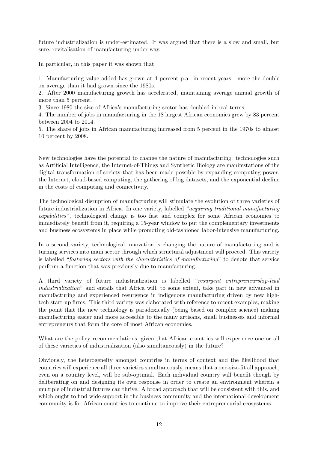future industrialization is under-estimated. It was argued that there is a slow and small, but sure, revitalisation of manufacturing under way.

In particular, in this paper it was shown that:

1. Manufacturing value added has grown at 4 percent p.a. in recent years - more the double on average than it had grown since the 1980s.

2. After 2000 manufacturing growth has accelerated, maintaining average annual growth of more than 5 percent.

3. Since 1980 the size of Africa's manufacturing sector has doubled in real terms.

4. The number of jobs in manufacturing in the 18 largest African economies grew by 83 percent between 2004 to 2014.

5. The share of jobs in African manufacturing increased from 5 percent in the 1970s to almost 10 percent by 2008.

New technologies have the potential to change the nature of manufacturing: technologies such as Artificial Intelligence, the Internet-of-Things and Synthetic Biology are manifestations of the digital transformation of society that has been made possible by expanding computing power, the Internet, cloud-based computing, the gathering of big datasets, and the exponential decline in the costs of computing and connectivity.

The technological disruption of manufacturing will stimulate the evolution of three varieties of future industrialization in Africa. In one variety, labelled "acquiring traditional manufacturing capabilities", technological change is too fast and complex for some African economies to immediately benefit from it, requiring a 15-year window to put the complementary investments and business ecosystems in place while promoting old-fashioned labor-intensive manufacturing.

In a second variety, technological innovation is changing the nature of manufacturing and is turning services into main sector through which structural adjustment will proceed. This variety is labelled "fostering sectors with the characteristics of manufacturing" to denote that service perform a function that was previously due to manufacturing.

A third variety of future industrialization is labelled "resurgent entrepreneurship-lead industrialization" and entails that Africa will, to some extent, take part in new advanced in manufacturing and experienced resurgence in indigenous manufacturing driven by new hightech start-up firms. This third variety was elaborated with reference to recent examples, making the point that the new technology is paradoxically (being based on complex science) making manufacturing easier and more accessible to the many artisans, small businesses and informal entrepreneurs that form the core of most African economies.

What are the policy recommendations, given that African countries will experience one or all of these varieties of industrialization (also simultaneously) in the future?

Obviously, the heterogeneity amongst countries in terms of context and the likelihood that countries will experience all three varieties simultaneously, means that a one-size-fit all approach, even on a country level, will be sub-optimal. Each individual country will benefit though by deliberating on and designing its own response in order to create an environment wherein a multiple of industrial futures can thrive. A broad approach that will be consistent with this, and which ought to find wide support in the business community and the international development community is for African countries to continue to improve their entrepreneurial ecosystems.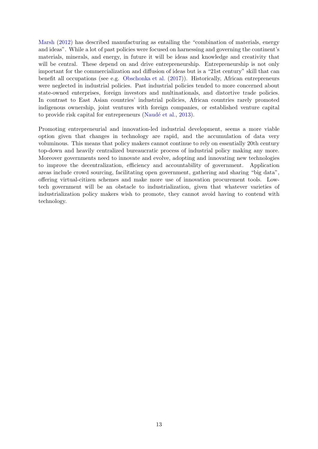[Marsh](#page-19-1) [\(2012\)](#page-19-1) has described manufacturing as entailing the "combination of materials, energy and ideas". While a lot of past policies were focused on harnessing and governing the continent's materials, minerals, and energy, in future it will be ideas and knowledge and creativity that will be central. These depend on and drive entrepreneurship. Entrepreneurship is not only important for the commercialization and diffusion of ideas but is a "21st century" skill that can benefit all occupations (see e.g. [Obschonka et al.](#page-19-16) [\(2017\)](#page-19-16)). Historically, African entrepreneurs were neglected in industrial policies. Past industrial policies tended to more concerned about state-owned enterprises, foreign investors and multinationals, and distortive trade policies. In contrast to East Asian countries' industrial policies, African countries rarely promoted indigenous ownership, joint ventures with foreign companies, or established venture capital to provide risk capital for entrepreneurs (Naudé et al., [2013\)](#page-19-17).

Promoting entrepreneurial and innovation-led industrial development, seems a more viable option given that changes in technology are rapid, and the accumulation of data very voluminous. This means that policy makers cannot continue to rely on essentially 20th century top-down and heavily centralized bureaucratic process of industrial policy making any more. Moreover governments need to innovate and evolve, adopting and innovating new technologies to improve the decentralization, efficiency and accountability of government. Application areas include crowd sourcing, facilitating open government, gathering and sharing "big data", offering virtual-citizen schemes and make more use of innovation procurement tools. Lowtech government will be an obstacle to industrialization, given that whatever varieties of industrialization policy makers wish to promote, they cannot avoid having to contend with technology.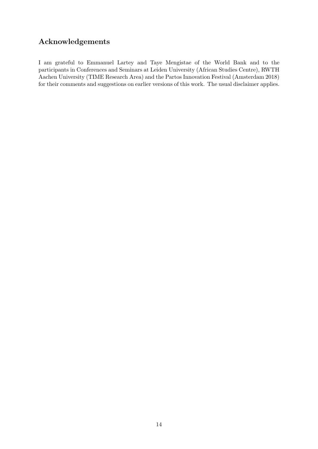## Acknowledgements

I am grateful to Emmanuel Lartey and Taye Mengistae of the World Bank and to the participants in Conferences and Seminars at Leiden University (African Studies Centre), RWTH Aachen University (TIME Research Area) and the Partos Innovation Festival (Amsterdam 2018) for their comments and suggestions on earlier versions of this work. The usual disclaimer applies.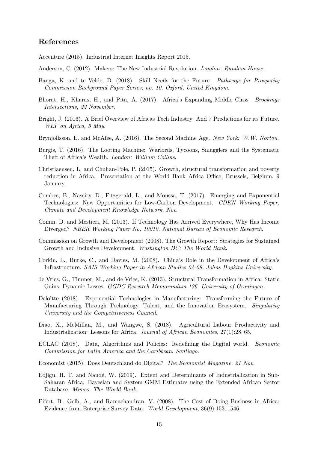### References

<span id="page-17-10"></span>Accenture (2015). Industrial Internet Insights Report 2015.

- <span id="page-17-12"></span>Anderson, C. (2012). Makers: The New Industrial Revolution. London: Random House.
- <span id="page-17-8"></span>Banga, K. and te Velde, D. (2018). Skill Needs for the Future. Pathways for Prosperity Commission Background Paper Series; no. 10. Oxford, United Kingdom.
- <span id="page-17-17"></span>Bhorat, H., Kharas, H., and Pita, A. (2017). Africa's Expanding Middle Class. Brookings Intersections, 22 November.
- <span id="page-17-18"></span>Bright, J. (2016). A Brief Overview of Africas Tech Industry And 7 Predictions for its Future. WEF on Africa, 5 May.
- <span id="page-17-1"></span>Brynjolfsson, E. and McAfee, A. (2016). The Second Machine Age. New York: W.W. Norton.
- <span id="page-17-15"></span>Burgis, T. (2016). The Looting Machine: Warlords, Tycoons, Smugglers and the Systematic Theft of Africa's Wealth. London: William Collins.
- <span id="page-17-4"></span>Christiaensen, L. and Chuhan-Pole, P. (2015). Growth, structural transformation and poverty reduction in Africa. Presentation at the World Bank Africa Office, Brussels, Belgium, 9 January.
- <span id="page-17-16"></span>Combes, B., Nassiry, D., Fitzgerald, L., and Moussa, T. (2017). Emerging and Exponential Technologies: New Opportunities for Low-Carbon Development. CDKN Working Paper, Climate and Development Knowledge Network, Nov.
- <span id="page-17-7"></span>Comin, D. and Mestieri, M. (2013). If Technology Has Arrived Everywhere, Why Has Income Diverged? NBER Working Paper No. 19010. National Bureau of Economic Research.
- <span id="page-17-0"></span>Commission on Growth and Development (2008). The Growth Report: Strategies for Sustained Growth and Inclusive Development. Washington DC: The World Bank.
- <span id="page-17-14"></span>Corkin, L., Burke, C., and Davies, M. (2008). China's Role in the Development of Africa's Infrastructure. SAIS Working Paper in African Studies 04-08, Johns Hopkins University.
- <span id="page-17-2"></span>de Vries, G., Timmer, M., and de Vries, K. (2013). Structural Transformation in Africa: Static Gains, Dynamic Losses. GGDC Research Memorandum 136. University of Groningen.
- <span id="page-17-9"></span>Deloitte (2018). Exponential Technologies in Manufacturing: Transforming the Future of Manufacturing Through Technology, Talent, and the Innovation Ecosystem. Singularity University and the Competitiveness Council.
- <span id="page-17-3"></span>Diao, X., McMillan, M., and Wangwe, S. (2018). Agricultural Labour Productivity and Industrialization: Lessons for Africa. Journal of African Economies, 27(1):28–65.
- <span id="page-17-11"></span>ECLAC (2018). Data, Algorithms and Policies: Redefining the Digital world. Economic Commission for Latin America and the Caribbean. Santiago.
- <span id="page-17-13"></span>Economist (2015). Does Deutschland do Digital? The Economist Magazine, 21 Nov.
- <span id="page-17-5"></span>Edjigu, H. T. and Naudé, W. (2019). Extent and Determinants of Industrialization in Sub-Saharan Africa: Bayesian and System GMM Estimates using the Extended African Sector Database. Mimeo. The World Bank.
- <span id="page-17-6"></span>Eifert, B., Gelb, A., and Ramachandran, V. (2008). The Cost of Doing Business in Africa: Evidence from Enterprise Survey Data. World Development, 36(9):15311546.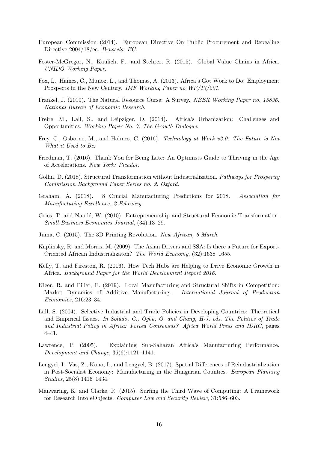- <span id="page-18-10"></span>European Commission (2014). European Directive On Public Procurement and Repealing Directive 2004/18/ec. Brussels: EC.
- <span id="page-18-13"></span>Foster-McGregor, N., Kaulich, F., and Stehrer, R. (2015). Global Value Chains in Africa. UNIDO Working Paper.
- <span id="page-18-1"></span>Fox, L., Haines, C., Munoz, L., and Thomas, A. (2013). Africa's Got Work to Do: Employment Prospects in the New Century. IMF Working Paper no WP/13/201.
- <span id="page-18-4"></span>Frankel, J. (2010). The Natural Resource Curse: A Survey. NBER Working Paper no. 15836. National Bureau of Economic Research.
- <span id="page-18-2"></span>Freire, M., Lall, S., and Leipziger, D. (2014). Africa's Urbanization: Challenges and Opportunities. Working Paper No. 7, The Growth Dialogue.
- <span id="page-18-8"></span>Frey, C., Osborne, M., and Holmes, C. (2016). Technology at Work v2.0: The Future is Not What it Used to Be.
- <span id="page-18-11"></span>Friedman, T. (2016). Thank You for Being Late: An Optimists Guide to Thriving in the Age of Accelerations. New York: Picador.
- <span id="page-18-15"></span>Gollin, D. (2018). Structural Transformation without Industrialization. Pathways for Prosperity Commission Background Paper Series no. 2. Oxford.
- <span id="page-18-12"></span>Graham, A. (2018). 8 Crucial Manufacturing Predictions for 2018. Association for Manufacturing Excellence, 2 February.
- <span id="page-18-0"></span>Gries, T. and Naudé, W. (2010). Entrepreneurship and Structural Economic Transformation. Small Business Economics Journal, (34):13–29.
- <span id="page-18-16"></span>Juma, C. (2015). The 3D Printing Revolution. New African, 6 March.
- <span id="page-18-14"></span>Kaplinsky, R. and Morris, M. (2009). The Asian Drivers and SSA: Is there a Future for Export-Oriented African Industrializaton? The World Economy, (32):1638–1655.
- <span id="page-18-17"></span>Kelly, T. and Fireston, R. (2016). How Tech Hubs are Helping to Drive Economic Growth in Africa. Background Paper for the World Development Report 2016.
- <span id="page-18-9"></span>Kleer, R. and Piller, F. (2019). Local Manufacturing and Structural Shifts in Competition: Market Dynamics of Additive Manufacturing. International Journal of Production Economics, 216:23–34.
- <span id="page-18-5"></span>Lall, S. (2004). Selective Industrial and Trade Policies in Developing Countries: Theoretical and Empirical Issues. In Soludo, C., Ogbu, O. and Chang, H-J. eds. The Politics of Trade and Industrial Policy in Africa: Forced Consensus? Africa World Press and IDRC, pages 4–41.
- <span id="page-18-6"></span>Lawrence, P. (2005). Explaining Sub-Saharan Africa's Manufacturing Performance. Development and Change, 36(6):1121–1141.
- <span id="page-18-3"></span>Lengyel, I., Vas, Z., Kano, I., and Lengyel, B. (2017). Spatial Differences of Reindustrialization in Post-Socialist Economy: Manufacturing in the Hungarian Counties. European Planning Studies, 25(8):1416–1434.
- <span id="page-18-7"></span>Manwaring, K. and Clarke, R. (2015). Surfing the Third Wave of Computing: A Framework for Research Into eObjects. Computer Law and Security Review, 31:586–603.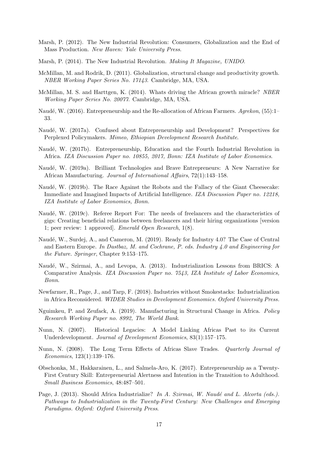- <span id="page-19-1"></span>Marsh, P. (2012). The New Industrial Revolution: Consumers, Globalization and the End of Mass Production. New Haven: Yale University Press.
- <span id="page-19-8"></span>Marsh, P. (2014). The New Industrial Revolution. Making It Magazine, UNIDO.
- <span id="page-19-2"></span>McMillan, M. and Rodrik, D. (2011). Globalization, structural change and productivity growth. NBER Working Paper Series No. 17143. Cambridge, MA, USA.
- <span id="page-19-3"></span>McMillan, M. S. and Harttgen, K. (2014). Whats driving the African growth miracle? NBER Working Paper Series No. 20077. Cambridge, MA, USA.
- <span id="page-19-0"></span>Naudé, W. (2016). Entrepreneurship and the Re-allocation of African Farmers. Agrekon, (55):1– 33.
- <span id="page-19-12"></span>Naudé, W. (2017a). Confused about Entrepreneurship and Development? Perspectives for Perplexed Policymakers. Mimeo, Ethiopian Development Research Institute.
- <span id="page-19-15"></span>Naudé, W. (2017b). Entrepreneurship, Education and the Fourth Industrial Revolution in Africa. IZA Discussion Paper no. 10855, 2017, Bonn: IZA Institute of Labor Economics.
- <span id="page-19-5"></span>Naudé, W. (2019a). Brilliant Technologies and Brave Entrepreneurs: A New Narrative for African Manufacturing. Journal of International Affairs, 72(1):143–158.
- <span id="page-19-9"></span>Naudé, W. (2019b). The Race Against the Robots and the Fallacy of the Giant Cheesecake: Immediate and Imagined Impacts of Artificial Intelligence. IZA Discussion Paper no. 12218, IZA Institute of Labor Economics, Bonn.
- <span id="page-19-10"></span>Naudé, W. (2019c). Referee Report For: The needs of freelancers and the characteristics of gigs: Creating beneficial relations between freelancers and their hiring organizations [version 1; peer review: 1 approved]. Emerald Open Research, 1(8).
- <span id="page-19-11"></span>Naudé, W., Surdej, A., and Cameron, M. (2019). Ready for Industry 4.0? The Case of Central and Eastern Europe. In Dastbaz, M. and Cochrane, P. eds. Industry 4.0 and Engineering for the Future. Springer, Chapter 9:153–175.
- <span id="page-19-17"></span>Naudé, W., Szirmai, A., and Levopa, A. (2013). Industrialization Lessons from BRICS: A Comparative Analysis. IZA Discussion Paper no. 7543, IZA Institute of Labor Economics, Bonn.
- <span id="page-19-13"></span>Newfarmer, R., Page, J., and Tarp, F. (2018). Industries without Smokestacks: Industrialization in Africa Reconsidered. WIDER Studies in Development Economics. Oxford University Press.
- <span id="page-19-4"></span>Nguimkeu, P. and Zeufack, A. (2019). Manufacturing in Structural Change in Africa. Policy Research Working Paper no. 8992, The World Bank.
- <span id="page-19-6"></span>Nunn, N. (2007). Historical Legacies: A Model Linking Africas Past to its Current Underdevelopment. Journal of Development Economics, 83(1):157–175.
- <span id="page-19-7"></span>Nunn, N. (2008). The Long Term Effects of Africas Slave Trades. Quarterly Journal of Economics, 123(1):139–176.
- <span id="page-19-16"></span>Obschonka, M., Hakkarainen, L., and Salmela-Aro, K. (2017). Entrepreneurship as a Twenty-First Century Skill: Entrepreneurial Alertness and Intention in the Transition to Adulthood. Small Business Economics, 48:487–501.
- <span id="page-19-14"></span>Page, J. (2013). Should Africa Industrialize? In A. Szirmai, W. Naudé and L. Alcorta (eds.). Pathways to Industrialization in the Twenty-First Century: New Challenges and Emerging Paradigms. Oxford: Oxford University Press.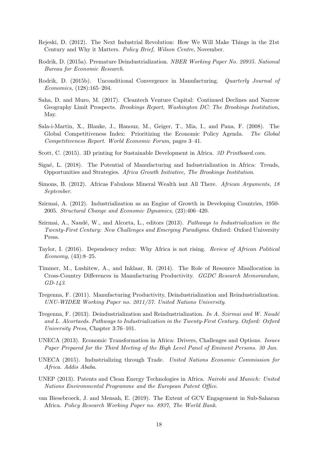- <span id="page-20-10"></span>Rejeski, D. (2012). The Next Industrial Revolution: How We Will Make Things in the 21st Century and Why it Matters. Policy Brief, Wilson Centre, November.
- <span id="page-20-1"></span>Rodrik, D. (2015a). Premature Deindustrialization. NBER Working Paper No. 20935. National Bureau for Economic Research.
- <span id="page-20-6"></span>Rodrik, D. (2015b). Unconditional Convergence in Manufacturing. Quarterly Journal of Economics, (128):165–204.
- <span id="page-20-17"></span>Saha, D. and Muro, M. (2017). Cleantech Venture Capital: Continued Declines and Narrow Geography Limit Prospects. Brookings Report, Washington DC: The Brookings Institution, May.
- <span id="page-20-9"></span>Sala-i-Martin, X., Blanke, J., Hanouz, M., Geiger, T., Mia, I., and Paua, F. (2008). The Global Competitiveness Index: Prioritizing the Economic Policy Agenda. The Global Competitiveness Report. World Economic Forum, pages 3–41.
- <span id="page-20-15"></span>Scott, C. (2015). 3D printing for Sustainable Development in Africa. 3D Printboard.com.
- <span id="page-20-8"></span>Signé, L. (2018). The Potential of Manufacturing and Industrialization in Africa: Trends, Opportunities and Strategies. Africa Growth Initiative, The Brookings Institution.
- <span id="page-20-13"></span>Simons, B. (2012). Africas Fabulous Mineral Wealth isnt All There. African Arguments, 18 September.
- <span id="page-20-3"></span>Szirmai, A. (2012). Industrialization as an Engine of Growth in Developing Countries, 1950- 2005. Structural Change and Economic Dynamics, (23):406–420.
- <span id="page-20-0"></span>Szirmai, A., Naudé, W., and Alcorta, L., editors  $(2013)$ . Pathways to Industrialization in the Twenty-First Century: New Challenges and Emerging Paradigms. Oxford: Oxford University Press.
- <span id="page-20-12"></span>Taylor, I. (2016). Dependency redux: Why Africa is not rising. Review of African Political Economy,  $(43):8-25$ .
- <span id="page-20-2"></span>Timmer, M., Lushitew, A., and Inklaar, R. (2014). The Role of Resource Misallocation in Cross-Country Differences in Manufacturing Productivity. GGDC Research Memorandum, GD-143.
- <span id="page-20-4"></span>Tregenna, F. (2011). Manufacturing Productivity, Deindustrialization and Reindustrialization. UNU-WIDER Working Paper no. 2011/57. United Nations University.
- <span id="page-20-5"></span>Tregenna, F. (2013). Deindustrialization and Reindustrialization. In A. Szirmai and W. Naudé and L. Alcortaeds. Pathways to Industrialization in the Twenty-First Century. Oxford: Oxford University Press, Chapter 3:76–101.
- <span id="page-20-7"></span>UNECA (2013). Economic Transformation in Africa: Drivers, Challenges and Options. Issues Paper Prepared for the Third Meeting of the High Level Panel of Eminent Persons. 30 Jan.
- <span id="page-20-11"></span>UNECA (2015). Industrializing through Trade. United Nations Economic Commission for Africa. Addis Ababa.
- <span id="page-20-16"></span>UNEP (2013). Patents and Clean Energy Technologies in Africa. Nairobi and Munich: United Nations Environmental Programme and the European Patent Office.
- <span id="page-20-14"></span>van Biesebroeck, J. and Mensah, E. (2019). The Extent of GCV Engagement in Sub-Saharan Africa. Policy Research Working Paper no. 8937, The World Bank.